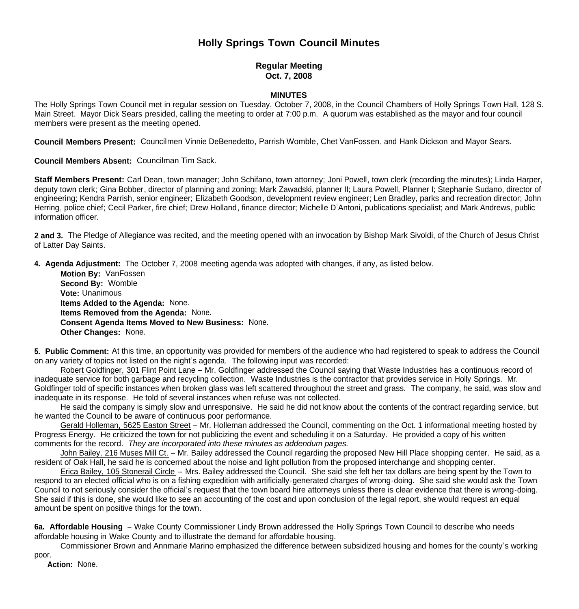# **Holly Springs Town Council Minutes**

## **Regular Meeting Oct. 7, 2008**

### **MINUTES**

The Holly Springs Town Council met in regular session on Tuesday, October 7, 2008, in the Council Chambers of Holly Springs Town Hall, 128 S. Main Street. Mayor Dick Sears presided, calling the meeting to order at 7:00 p.m. A quorum was established as the mayor and four council members were present as the meeting opened.

**Council Members Present:** Councilmen Vinnie DeBenedetto, Parrish Womble, Chet VanFossen, and Hank Dickson and Mayor Sears.

**Council Members Absent:** Councilman Tim Sack.

**Staff Members Present:** Carl Dean, town manager; John Schifano, town attorney; Joni Powell, town clerk (recording the minutes); Linda Harper, deputy town clerk; Gina Bobber, director of planning and zoning; Mark Zawadski, planner II; Laura Powell, Planner I; Stephanie Sudano, director of engineering; Kendra Parrish, senior engineer; Elizabeth Goodson, development review engineer; Len Bradley, parks and recreation director; John Herring, police chief; Cecil Parker, fire chief; Drew Holland, finance director; Michelle D'Antoni, publications specialist; and Mark Andrews, public information officer.

**2 and 3.** The Pledge of Allegiance was recited, and the meeting opened with an invocation by Bishop Mark Sivoldi, of the Church of Jesus Christ of Latter Day Saints.

**4. Agenda Adjustment:** The October 7, 2008 meeting agenda was adopted with changes, if any, as listed below.

 **Motion By:** VanFossen **Second By:** Womble **Vote:** Unanimous  **Items Added to the Agenda:** None. **Items Removed from the Agenda:** None. **Consent Agenda Items Moved to New Business:** None. **Other Changes:** None.

**5. Public Comment:** At this time, an opportunity was provided for members of the audience who had registered to speak to address the Council on any variety of topics not listed on the night's agenda. The following input was recorded:

Robert Goldfinger, 301 Flint Point Lane – Mr. Goldfinger addressed the Council saying that Waste Industries has a continuous record of inadequate service for both garbage and recycling collection. Waste Industries is the contractor that provides service in Holly Springs. Mr. Goldfinger told of specific instances when broken glass was left scattered throughout the street and grass. The company, he said, was slow and inadequate in its response. He told of several instances when refuse was not collected.

He said the company is simply slow and unresponsive. He said he did not know about the contents of the contract regarding service, but he wanted the Council to be aware of continuous poor performance.

Gerald Holleman, 5625 Easton Street – Mr. Holleman addressed the Council, commenting on the Oct. 1 informational meeting hosted by Progress Energy. He criticized the town for not publicizing the event and scheduling it on a Saturday. He provided a copy of his written comments for the record. *They are incorporated into these minutes as addendum pages.*

John Bailey, 216 Muses Mill Ct. – Mr. Bailey addressed the Council regarding the proposed New Hill Place shopping center. He said, as a resident of Oak Hall, he said he is concerned about the noise and light pollution from the proposed interchange and shopping center.

 Erica Bailey, 105 Stonerail Circle -- Mrs. Bailey addressed the Council. She said she felt her tax dollars are being spent by the Town to respond to an elected official who is on a fishing expedition with artificially-generated charges of wrong-doing. She said she would ask the Town Council to not seriously consider the official's request that the town board hire attorneys unless there is clear evidence that there is wrong-doing. She said if this is done, she would like to see an accounting of the cost and upon conclusion of the legal report, she would request an equal amount be spent on positive things for the town.

**6a. Affordable Housing** – Wake County Commissioner Lindy Brown addressed the Holly Springs Town Council to describe who needs affordable housing in Wake County and to illustrate the demand for affordable housing.

 Commissioner Brown and Annmarie Marino emphasized the difference between subsidized housing and homes for the county's working poor.

 **Action:** None.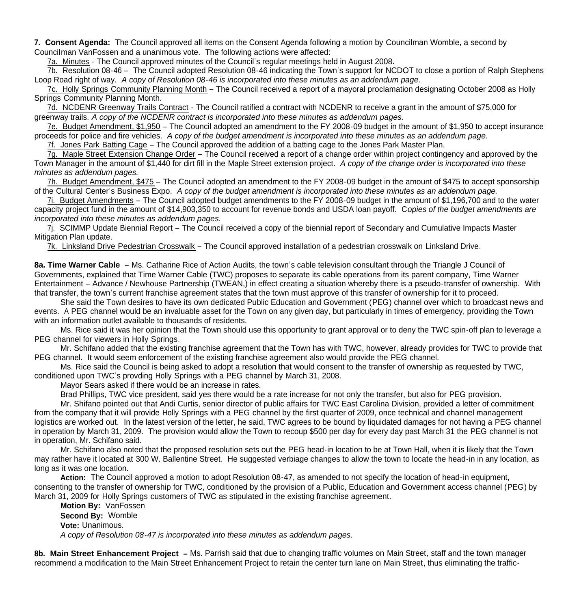**7. Consent Agenda:** The Council approved all items on the Consent Agenda following a motion by Councilman Womble, a second by Councilman VanFossen and a unanimous vote. The following actions were affected:

7a. Minutes - The Council approved minutes of the Council's regular meetings held in August 2008.

7b. Resolution 08-46 – The Council adopted Resolution 08-46 indicating the Town's support for NCDOT to close a portion of Ralph Stephens Loop Road right of way. *A copy of Resolution 08-46 is incorporated into these minutes as an addendum page.*

 7c. Holly Springs Community Planning Month – The Council received a report of a mayoral proclamation designating October 2008 as Holly Springs Community Planning Month.

7d. NCDENR Greenway Trails Contract - The Council ratified a contract with NCDENR to receive a grant in the amount of \$75,000 for greenway trails. *A copy of the NCDENR contract is incorporated into these minutes as addendum pages.*

 7e. Budget Amendment, \$1,950 – The Council adopted an amendment to the FY 2008-09 budget in the amount of \$1,950 to accept insurance proceeds for police and fire vehicles. *A copy of the budget amendment is incorporated into these minutes as an addendum page.*

7f. Jones Park Batting Cage – The Council approved the addition of a batting cage to the Jones Park Master Plan.

 7g. Maple Street Extension Change Order – The Council received a report of a change order within project contingency and approved by the Town Manager in the amount of \$1,440 for dirt fill in the Maple Street extension project. *A copy of the change order is incorporated into these minutes as addendum pages.*

 7h. Budget Amendment, \$475 – The Council adopted an amendment to the FY 2008-09 budget in the amount of \$475 to accept sponsorship of the Cultural Center's Business Expo. *A copy of the budget amendment is incorporated into these minutes as an addendum page.*

 7i. Budget Amendments – The Council adopted budget amendments to the FY 2008-09 budget in the amount of \$1,196,700 and to the water capacity project fund in the amount of \$14,903,350 to account for revenue bonds and USDA loan payoff. C*opies of the budget amendments are incorporated into these minutes as addendum pages.*

 7j. SCIMMP Update Biennial Report – The Council received a copy of the biennial report of Secondary and Cumulative Impacts Master Mitigation Plan update.

7k. Linksland Drive Pedestrian Crosswalk – The Council approved installation of a pedestrian crosswalk on Linksland Drive.

**8a. Time Warner Cable** – Ms. Catharine Rice of Action Audits, the town's cable television consultant through the Triangle J Council of Governments, explained that Time Warner Cable (TWC) proposes to separate its cable operations from its parent company, Time Warner Entertainment – Advance / Newhouse Partnership (TWEAN,) in effect creating a situation whereby there is a pseudo-transfer of ownership. With that transfer, the town's current franchise agreement states that the town must approve of this transfer of ownership for it to proceed.

 She said the Town desires to have its own dedicated Public Education and Government (PEG) channel over which to broadcast news and events. A PEG channel would be an invaluable asset for the Town on any given day, but particularly in times of emergency, providing the Town with an information outlet available to thousands of residents.

 Ms. Rice said it was her opinion that the Town should use this opportunity to grant approval or to deny the TWC spin-off plan to leverage a PEG channel for viewers in Holly Springs.

 Mr. Schifano added that the existing franchise agreement that the Town has with TWC, however, already provides for TWC to provide that PEG channel. It would seem enforcement of the existing franchise agreement also would provide the PEG channel.

 Ms. Rice said the Council is being asked to adopt a resolution that would consent to the transfer of ownership as requested by TWC, conditioned upon TWC's provding Holly Springs with a PEG channel by March 31, 2008.

Mayor Sears asked if there would be an increase in rates.

Brad Phillips, TWC vice president, said yes there would be a rate increase for not only the transfer, but also for PEG provision.

Mr. Shifano pointed out that Andi Curtis, senior director of public affairs for TWC East Carolina Division, provided a letter of commitment from the company that it will provide Holly Springs with a PEG channel by the first quarter of 2009, once technical and channel management logistics are worked out. In the latest version of the letter, he said, TWC agrees to be bound by liquidated damages for not having a PEG channel in operation by March 31, 2009. The provision would allow the Town to recoup \$500 per day for every day past March 31 the PEG channel is not in operation, Mr. Schifano said.

 Mr. Schifano also noted that the proposed resolution sets out the PEG head-in location to be at Town Hall, when it is likely that the Town may rather have it located at 300 W. Ballentine Street. He suggested verbiage changes to allow the town to locate the head-in in any location, as long as it was one location.

 **Action:** The Council approved a motion to adopt Resolution 08-47, as amended to not specify the location of head-in equipment, consenting to the transfer of ownership for TWC, conditioned by the provision of a Public, Education and Government access channel (PEG) by March 31, 2009 for Holly Springs customers of TWC as stipulated in the existing franchise agreement.

 **Motion By:** VanFossen **Second By:** Womble **Vote:** Unanimous.  *A copy of Resolution 08-47 is incorporated into these minutes as addendum pages.*

**8b. Main Street Enhancement Project –** Ms. Parrish said that due to changing traffic volumes on Main Street, staff and the town manager recommend a modification to the Main Street Enhancement Project to retain the center turn lane on Main Street, thus eliminating the traffic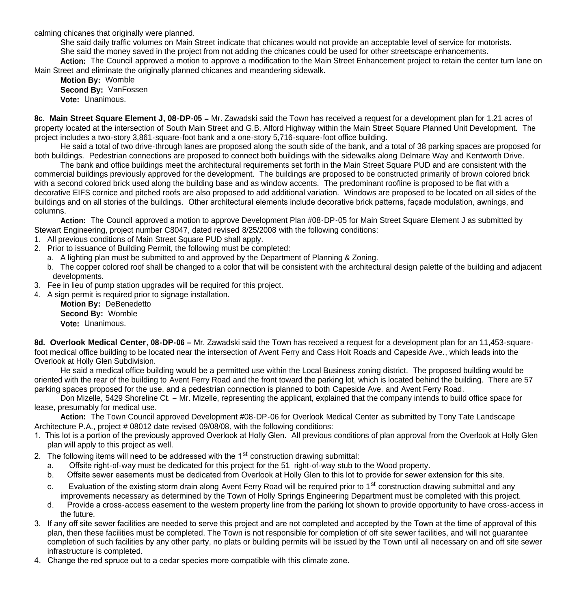calming chicanes that originally were planned.

 She said daily traffic volumes on Main Street indicate that chicanes would not provide an acceptable level of service for motorists. She said the money saved in the project from not adding the chicanes could be used for other streetscape enhancements.

**Action:** The Council approved a motion to approve a modification to the Main Street Enhancement project to retain the center turn lane on Main Street and eliminate the originally planned chicanes and meandering sidewalk.

**Motion By:** Womble **Second By:** VanFossen **Vote:** Unanimous.

**8c. Main Street Square Element J, 08-DP-05 –** Mr. Zawadski said the Town has received a request for a development plan for 1.21 acres of property located at the intersection of South Main Street and G.B. Alford Highway within the Main Street Square Planned Unit Development. The project includes a two-story 3,861-square-foot bank and a one-story 5,716-square-foot office building.

He said a total of two drive-through lanes are proposed along the south side of the bank, and a total of 38 parking spaces are proposed for both buildings. Pedestrian connections are proposed to connect both buildings with the sidewalks along Delmare Way and Kentworth Drive.

The bank and office buildings meet the architectural requirements set forth in the Main Street Square PUD and are consistent with the commercial buildings previously approved for the development. The buildings are proposed to be constructed primarily of brown colored brick with a second colored brick used along the building base and as window accents. The predominant roofline is proposed to be flat with a decorative EIFS cornice and pitched roofs are also proposed to add additional variation. Windows are proposed to be located on all sides of the buildings and on all stories of the buildings. Other architectural elements include decorative brick patterns, façade modulation, awnings, and columns.

**Action:** The Council approved a motion to approve Development Plan #08-DP-05 for Main Street Square Element J as submitted by Stewart Engineering, project number C8047, dated revised 8/25/2008 with the following conditions:

- 1. All previous conditions of Main Street Square PUD shall apply.
- 2. Prior to issuance of Building Permit, the following must be completed:
	- a. A lighting plan must be submitted to and approved by the Department of Planning & Zoning.
	- b. The copper colored roof shall be changed to a color that will be consistent with the architectural design palette of the building and adjacent developments.
- 3. Fee in lieu of pump station upgrades will be required for this project.
- 4. A sign permit is required prior to signage installation.

**Motion By:** DeBenedetto **Second By:** Womble **Vote:** Unanimous.

**8d. Overlook Medical Center, 08-DP-06 –** Mr. Zawadski said the Town has received a request for a development plan for an 11,453-squarefoot medical office building to be located near the intersection of Avent Ferry and Cass Holt Roads and Capeside Ave., which leads into the Overlook at Holly Glen Subdivision.

He said a medical office building would be a permitted use within the Local Business zoning district. The proposed building would be oriented with the rear of the building to Avent Ferry Road and the front toward the parking lot, which is located behind the building. There are 57 parking spaces proposed for the use, and a pedestrian connection is planned to both Capeside Ave. and Avent Ferry Road.

Don Mizelle, 5429 Shoreline Ct. – Mr. Mizelle, representing the applicant, explained that the company intends to build office space for lease, presumably for medical use.

 **Action:** The Town Council approved Development #08-DP-06 for Overlook Medical Center as submitted by Tony Tate Landscape Architecture P.A., project # 08012 date revised 09/08/08, with the following conditions:

- 1. This lot is a portion of the previously approved Overlook at Holly Glen. All previous conditions of plan approval from the Overlook at Holly Glen plan will apply to this project as well.
- 2. The following items will need to be addressed with the 1<sup>st</sup> construction drawing submittal:
	- a. Offsite right-of-way must be dedicated for this project for the 51' right-of-way stub to the Wood property.
	- b. Offsite sewer easements must be dedicated from Overlook at Holly Glen to this lot to provide for sewer extension for this site.
	- c. Evaluation of the existing storm drain along Avent Ferry Road will be required prior to 1<sup>st</sup> construction drawing submittal and any improvements necessary as determined by the Town of Holly Springs Engineering Department must be completed with this project.
	- d. Provide a cross-access easement to the western property line from the parking lot shown to provide opportunity to have cross-access in the future.
- 3. If any off site sewer facilities are needed to serve this project and are not completed and accepted by the Town at the time of approval of this plan, then these facilities must be completed. The Town is not responsible for completion of off site sewer facilities, and will not guarantee completion of such facilities by any other party, no plats or building permits will be issued by the Town until all necessary on and off site sewer infrastructure is completed.
- 4. Change the red spruce out to a cedar species more compatible with this climate zone.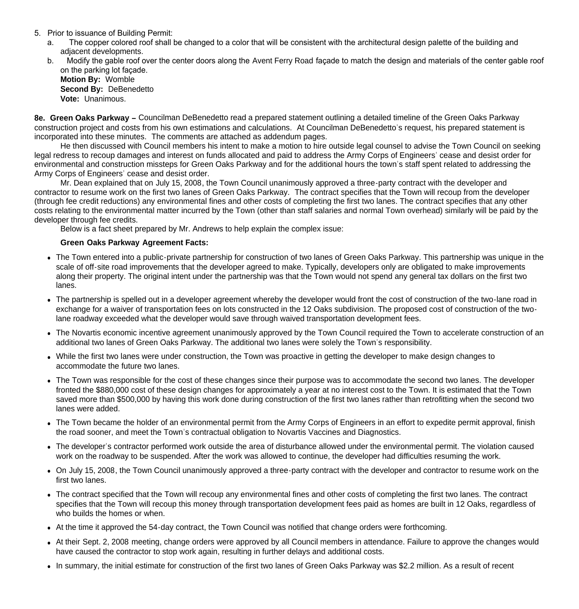- 5. Prior to issuance of Building Permit:
	- a. The copper colored roof shall be changed to a color that will be consistent with the architectural design palette of the building and adjacent developments.
	- b. Modify the gable roof over the center doors along the Avent Ferry Road façade to match the design and materials of the center gable roof on the parking lot façade.

**Motion By:** Womble **Second By:** DeBenedetto **Vote:** Unanimous.

**8e. Green Oaks Parkway –** Councilman DeBenedetto read a prepared statement outlining a detailed timeline of the Green Oaks Parkway construction project and costs from his own estimations and calculations. At Councilman DeBenedetto's request, his prepared statement is incorporated into these minutes. The comments are attached as addendum pages.

He then discussed with Council members his intent to make a motion to hire outside legal counsel to advise the Town Council on seeking legal redress to recoup damages and interest on funds allocated and paid to address the Army Corps of Engineers' cease and desist order for environmental and construction missteps for Green Oaks Parkway and for the additional hours the town's staff spent related to addressing the Army Corps of Engineers' cease and desist order.

 Mr. Dean explained that on July 15, 2008, the Town Council unanimously approved a three-party contract with the developer and contractor to resume work on the first two lanes of Green Oaks Parkway. The contract specifies that the Town will recoup from the developer (through fee credit reductions) any environmental fines and other costs of completing the first two lanes. The contract specifies that any other costs relating to the environmental matter incurred by the Town (other than staff salaries and normal Town overhead) similarly will be paid by the developer through fee credits.

Below is a fact sheet prepared by Mr. Andrews to help explain the complex issue:

#### **Green Oaks Parkway Agreement Facts:**

- The Town entered into a public-private partnership for construction of two lanes of Green Oaks Parkway. This partnership was unique in the scale of off-site road improvements that the developer agreed to make. Typically, developers only are obligated to make improvements along their property. The original intent under the partnership was that the Town would not spend any general tax dollars on the first two lanes.
- The partnership is spelled out in a developer agreement whereby the developer would front the cost of construction of the two-lane road in exchange for a waiver of transportation fees on lots constructed in the 12 Oaks subdivision. The proposed cost of construction of the twolane roadway exceeded what the developer would save through waived transportation development fees.
- The Novartis economic incentive agreement unanimously approved by the Town Council required the Town to accelerate construction of an additional two lanes of Green Oaks Parkway. The additional two lanes were solely the Town's responsibility.
- While the first two lanes were under construction, the Town was proactive in getting the developer to make design changes to accommodate the future two lanes.
- The Town was responsible for the cost of these changes since their purpose was to accommodate the second two lanes. The developer fronted the \$880,000 cost of these design changes for approximately a year at no interest cost to the Town. It is estimated that the Town saved more than \$500,000 by having this work done during construction of the first two lanes rather than retrofitting when the second two lanes were added.
- The Town became the holder of an environmental permit from the Army Corps of Engineers in an effort to expedite permit approval, finish the road sooner, and meet the Town's contractual obligation to Novartis Vaccines and Diagnostics.
- The developer's contractor performed work outside the area of disturbance allowed under the environmental permit. The violation caused work on the roadway to be suspended. After the work was allowed to continue, the developer had difficulties resuming the work.
- On July 15, 2008, the Town Council unanimously approved a three-party contract with the developer and contractor to resume work on the first two lanes.
- The contract specified that the Town will recoup any environmental fines and other costs of completing the first two lanes. The contract specifies that the Town will recoup this money through transportation development fees paid as homes are built in 12 Oaks, regardless of who builds the homes or when.
- At the time it approved the 54-day contract, the Town Council was notified that change orders were forthcoming.
- At their Sept. 2, 2008 meeting, change orders were approved by all Council members in attendance. Failure to approve the changes would have caused the contractor to stop work again, resulting in further delays and additional costs.
- In summary, the initial estimate for construction of the first two lanes of Green Oaks Parkway was \$2.2 million. As a result of recent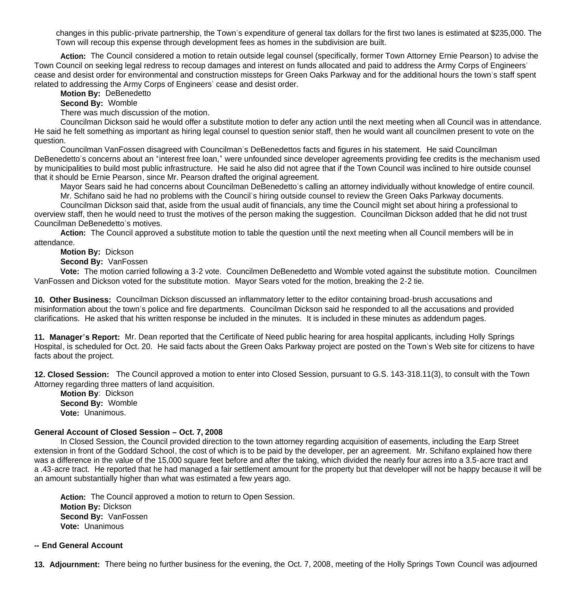changes in this public-private partnership, the Town's expenditure of general tax dollars for the first two lanes is estimated at \$235,000. The Town will recoup this expense through development fees as homes in the subdivision are built.

Action: The Council considered a motion to retain outside legal counsel (specifically, former Town Attorney Ernie Pearson) to advise the Town Council on seeking legal redress to recoup damages and interest on funds allocated and paid to address the Army Corps of Engineers' cease and desist order for environmental and construction missteps for Green Oaks Parkway and for the additional hours the town's staff spent related to addressing the Army Corps of Engineers' cease and desist order.

#### **Motion By:** DeBenedetto

**Second By:** Womble

There was much discussion of the motion.

 Councilman Dickson said he would offer a substitute motion to defer any action until the next meeting when all Council was in attendance. He said he felt something as important as hiring legal counsel to question senior staff, then he would want all councilmen present to vote on the question.

 Councilman VanFossen disagreed with Councilman's DeBenedettos facts and figures in his statement. He said Councilman DeBenedetto's concerns about an "interest free loan," were unfounded since developer agreements providing fee credits is the mechanism used by municipalities to build most public infrastructure. He said he also did not agree that if the Town Council was inclined to hire outside counsel that it should be Ernie Pearson, since Mr. Pearson drafted the original agreement.

 Mayor Sears said he had concerns about Councilman DeBenedetto's calling an attorney individually without knowledge of entire council. Mr. Schifano said he had no problems with the Council's hiring outside counsel to review the Green Oaks Parkway documents.

 Councilman Dickson said that, aside from the usual audit of financials, any time the Council might set about hiring a professional to overview staff, then he would need to trust the motives of the person making the suggestion. Councilman Dickson added that he did not trust Councilman DeBenedetto's motives.

 **Action:** The Council approved a substitute motion to table the question until the next meeting when all Council members will be in attendance.

**Motion By:** Dickson

**Second By:** VanFossen

 **Vote:** The motion carried following a 3-2 vote. Councilmen DeBenedetto and Womble voted against the substitute motion. Councilmen VanFossen and Dickson voted for the substitute motion. Mayor Sears voted for the motion, breaking the 2-2 tie.

**10. Other Business:** Councilman Dickson discussed an inflammatory letter to the editor containing broad-brush accusations and misinformation about the town's police and fire departments. Councilman Dickson said he responded to all the accusations and provided clarifications. He asked that his written response be included in the minutes. It is included in these minutes as addendum pages.

**11. Manager's Report:** Mr. Dean reported that the Certificate of Need public hearing for area hospital applicants, including Holly Springs Hospital, is scheduled for Oct. 20. He said facts about the Green Oaks Parkway project are posted on the Town's Web site for citizens to have facts about the project.

**12. Closed Session:** The Council approved a motion to enter into Closed Session, pursuant to G.S. 143-318.11(3), to consult with the Town Attorney regarding three matters of land acquisition.

 **Motion By**: Dickson **Second By:** Womble **Vote:** Unanimous.

#### **General Account of Closed Session – Oct. 7, 2008**

 In Closed Session, the Council provided direction to the town attorney regarding acquisition of easements, including the Earp Street extension in front of the Goddard School, the cost of which is to be paid by the developer, per an agreement. Mr. Schifano explained how there was a difference in the value of the 15,000 square feet before and after the taking, which divided the nearly four acres into a 3.5-acre tract and a .43-acre tract. He reported that he had managed a fair settlement amount for the property but that developer will not be happy because it will be an amount substantially higher than what was estimated a few years ago.

Action: The Council approved a motion to return to Open Session. **Motion By:** Dickson **Second By:** VanFossen **Vote:** Unanimous

#### **-- End General Account**

**13. Adjournment:** There being no further business for the evening, the Oct. 7, 2008, meeting of the Holly Springs Town Council was adjourned